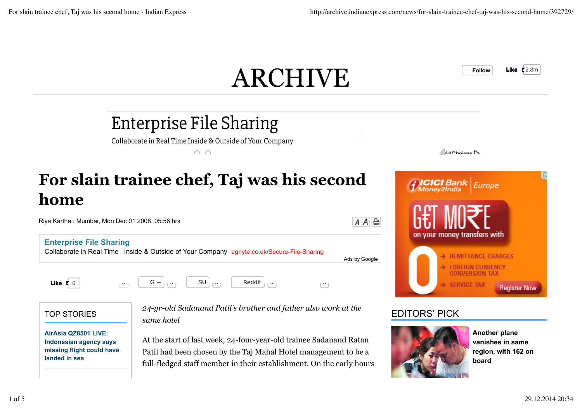